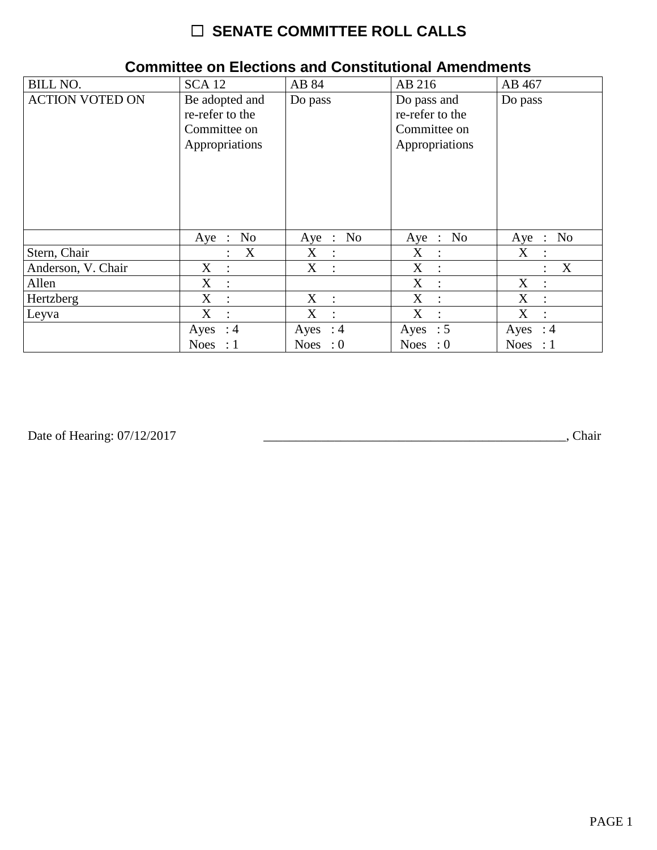| <b>BILL NO.</b>        | <b>SCA 12</b>                                                       | AB 84                                     | AB 216                                                           | AB 467                              |
|------------------------|---------------------------------------------------------------------|-------------------------------------------|------------------------------------------------------------------|-------------------------------------|
| <b>ACTION VOTED ON</b> | Be adopted and<br>re-refer to the<br>Committee on<br>Appropriations | Do pass                                   | Do pass and<br>re-refer to the<br>Committee on<br>Appropriations | Do pass                             |
|                        | No<br>$Aye$ :                                                       | Aye : No                                  | Aye : No                                                         | $\therefore$ No<br>Aye              |
| Stern, Chair           | X                                                                   | X<br>$\ddot{\cdot}$                       | X<br>$\ddot{\phantom{a}}$                                        | $X_{\mathcal{C}}$<br>$\ddot{\cdot}$ |
| Anderson, V. Chair     | X<br>$\ddot{\cdot}$                                                 | $X_{\mathcal{C}}$<br>$\ddot{\phantom{a}}$ | X<br>$\ddot{\phantom{a}}$                                        | X<br>$\ddot{\cdot}$                 |
| Allen                  | X                                                                   |                                           | X<br>$\sim$ 1 $\sim$                                             | X<br>$\ddot{\cdot}$                 |
| Hertzberg              | $\mathbf{X}$                                                        | $X$ :                                     | X<br>$\cdot$ :                                                   | X<br>$\ddot{\phantom{a}}$           |
| Leyva                  | X<br>$\ddot{\cdot}$                                                 | $X_{\mathcal{C}}$<br>$\ddot{\cdot}$       | X<br>$\cdot$ :                                                   | X<br>$\ddot{\cdot}$                 |
|                        | Ayes : $4$                                                          | Ayes : $4$                                | Ayes : $5$                                                       | Ayes : $4$                          |
|                        | <b>Noes</b><br>: 1                                                  | Noes : $0$                                | Noes : $0$                                                       | Noes : $1$                          |

### **Committee on Elections and Constitutional Amendments**

Date of Hearing: 07/12/2017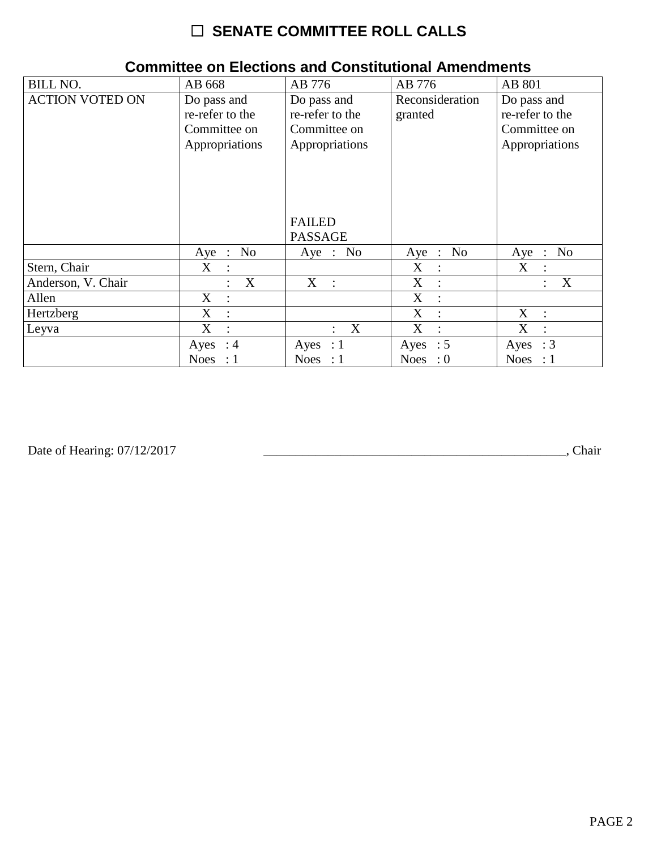| <b>BILL NO.</b>        | AB 668                                                           | AB 776                                                                            | AB 776                     | AB 801                                                           |
|------------------------|------------------------------------------------------------------|-----------------------------------------------------------------------------------|----------------------------|------------------------------------------------------------------|
| <b>ACTION VOTED ON</b> | Do pass and<br>re-refer to the<br>Committee on<br>Appropriations | Do pass and<br>re-refer to the<br>Committee on<br>Appropriations<br><b>FAILED</b> | Reconsideration<br>granted | Do pass and<br>re-refer to the<br>Committee on<br>Appropriations |
|                        |                                                                  | <b>PASSAGE</b>                                                                    |                            |                                                                  |
|                        | No<br>Aye :                                                      | Aye : No                                                                          | Aye : No                   | N <sub>0</sub><br>Aye<br>$\sim 10^7$                             |
| Stern, Chair           | X                                                                |                                                                                   | X<br>$\ddot{\phantom{a}}$  | X<br>$\ddot{\cdot}$                                              |
| Anderson, V. Chair     | X<br>$\ddot{\cdot}$                                              | $X$ :                                                                             | X<br>$\mathbb{R}$          | X<br>$\ddot{\cdot}$                                              |
| Allen                  | X                                                                |                                                                                   | X<br>$\cdot$ :             |                                                                  |
| Hertzberg              | X                                                                |                                                                                   | X                          | X<br>$\ddot{\phantom{a}}$                                        |
| Leyva                  | X                                                                | X                                                                                 | X                          | X                                                                |
|                        | $\therefore$ 4<br>Ayes                                           | Ayes : $1$                                                                        | Ayes : $5$                 | $\therefore$ 3<br>Ayes                                           |
|                        | <b>Noes</b><br>: 1                                               | Noes : $1$                                                                        | Noes : $0$                 | <b>Noes</b><br>$\therefore$ 1                                    |

### **Committee on Elections and Constitutional Amendments**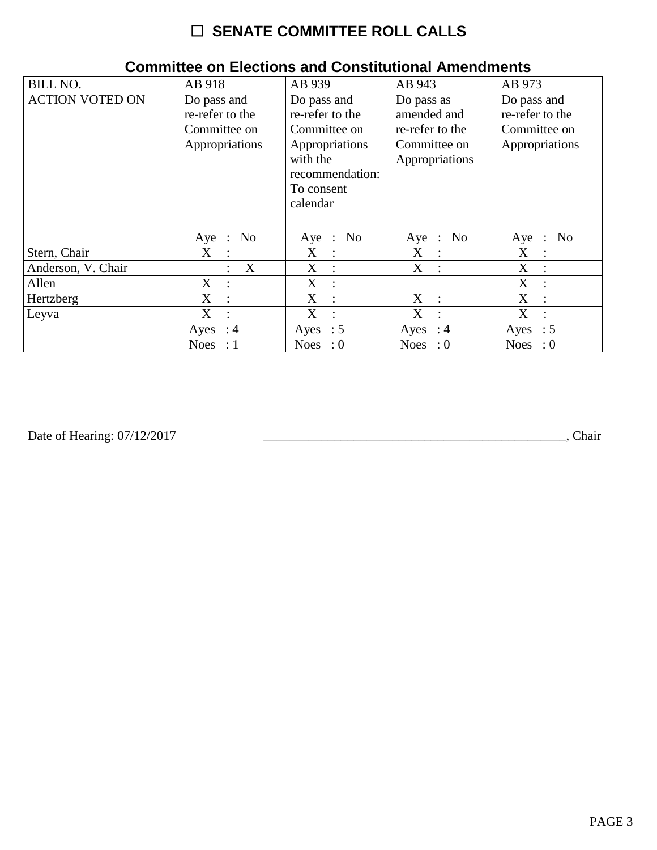| <b>BILL NO.</b>        | AB 918                                                           | AB 939                                                                                                                    | AB 943                                                                         | AB 973                                                           |
|------------------------|------------------------------------------------------------------|---------------------------------------------------------------------------------------------------------------------------|--------------------------------------------------------------------------------|------------------------------------------------------------------|
| <b>ACTION VOTED ON</b> | Do pass and<br>re-refer to the<br>Committee on<br>Appropriations | Do pass and<br>re-refer to the<br>Committee on<br>Appropriations<br>with the<br>recommendation:<br>To consent<br>calendar | Do pass as<br>amended and<br>re-refer to the<br>Committee on<br>Appropriations | Do pass and<br>re-refer to the<br>Committee on<br>Appropriations |
|                        | No<br>Aye<br>$\ddot{\phantom{1}}$ :                              | No<br>$Aye$ :                                                                                                             | Aye : No                                                                       | N <sub>0</sub><br>Aye<br>$\therefore$                            |
| Stern, Chair           | X<br>$\therefore$                                                | $X_{\mathcal{C}}$<br>$\ddot{\cdot}$                                                                                       | X<br>$\sim 10^7$                                                               | X<br>$\ddot{\cdot}$                                              |
| Anderson, V. Chair     | X                                                                | X<br>$\ddot{\cdot}$                                                                                                       | X<br>$\mathcal{L}$                                                             | X<br>$\ddot{\phantom{a}}$                                        |
| Allen                  | X<br>$\ddot{\cdot}$                                              | X<br>$\ddot{\cdot}$                                                                                                       |                                                                                | X<br>$\ddot{\cdot}$                                              |
| Hertzberg              | X<br>$\ddot{\cdot}$                                              | X<br>$\ddot{\phantom{a}}$                                                                                                 | X<br>$\mathbf{r}$                                                              | X<br>$\ddot{\cdot}$                                              |
| Leyva                  | X<br>$\ddot{\cdot}$                                              | X<br>$\ddot{\cdot}$                                                                                                       | X                                                                              | X<br>$\ddot{\cdot}$                                              |
|                        | $\therefore$ 4<br>Ayes                                           | Ayes : $5$                                                                                                                | Ayes : $4$                                                                     | $\therefore$ 5<br>Ayes                                           |
|                        | <b>Noes</b><br>$\div$ 1                                          | Noes : $0$                                                                                                                | Noes : $0$                                                                     | <b>Noes</b><br>$\cdot 0$                                         |

### **Committee on Elections and Constitutional Amendments**

Date of Hearing: 07/12/2017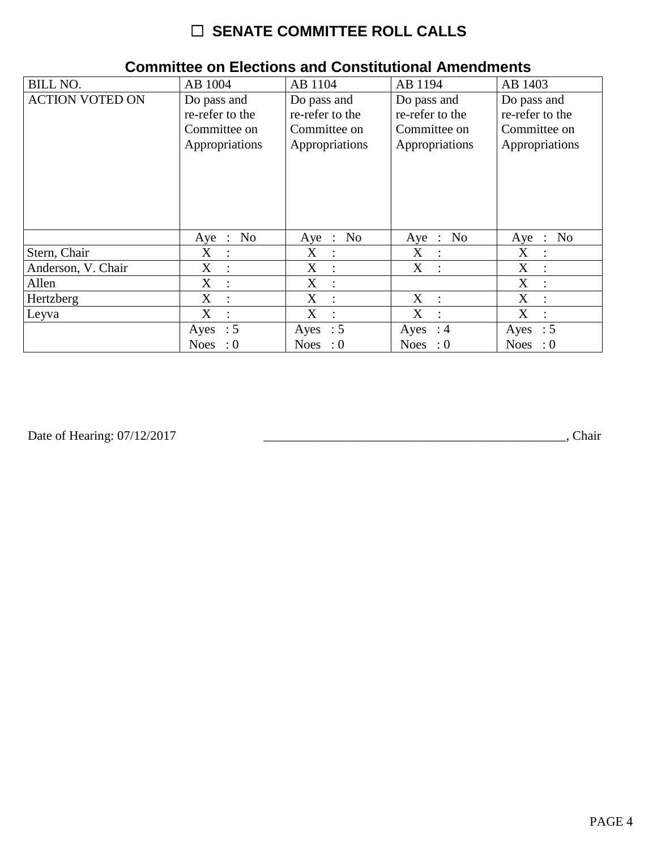| <b>BILL NO.</b>        | AB 1004                  | AB 1104              | AB 1194              | AB 1403                                       |
|------------------------|--------------------------|----------------------|----------------------|-----------------------------------------------|
| <b>ACTION VOTED ON</b> | Do pass and              | Do pass and          | Do pass and          | Do pass and                                   |
|                        | re-refer to the          | re-refer to the      | re-refer to the      | re-refer to the                               |
|                        | Committee on             | Committee on         | Committee on         | Committee on                                  |
|                        | Appropriations           | Appropriations       | Appropriations       | Appropriations                                |
|                        | No<br>Aye :              | Aye : No             | Aye : No             | N <sub>0</sub><br>Aye<br>$\ddot{\phantom{1}}$ |
| Stern, Chair           | X                        | $X_{\mathcal{L}}$    | $X_{\mathcal{C}}$    | X                                             |
|                        | $\therefore$             | $\ddot{\cdot}$       | $\sim$ 1.            | $\ddot{\phantom{a}}$                          |
| Anderson, V. Chair     | X                        | X                    | X                    | X                                             |
|                        | $\ddot{\phantom{a}}$     | ÷                    | $\sim 10$            | $\ddot{\phantom{a}}$                          |
| Allen                  | X<br>$\ddot{\cdot}$      | X<br>$\ddot{\cdot}$  |                      | X<br>$\ddot{\cdot}$                           |
| Hertzberg              | X                        | X                    | X                    | X                                             |
|                        | $\ddot{\cdot}$           | $\ddot{\phantom{a}}$ | $\cdot$ :            | $\ddot{\cdot}$                                |
| Leyva                  | X                        | X                    | X                    | X                                             |
|                        | $\ddot{\cdot}$           | $\ddot{\cdot}$       | $\ddot{\phantom{a}}$ | $\ddot{\cdot}$                                |
|                        | Ayes : $5$               | Ayes : $5$           | Ayes : $4$           | Ayes : $5$                                    |
|                        | <b>Noes</b><br>$\cdot 0$ | Noes : $0$           | Noes : $0$           | <b>Noes</b><br>$\cdot 0$                      |

### **Committee on Elections and Constitutional Amendments**

Date of Hearing: 07/12/2017